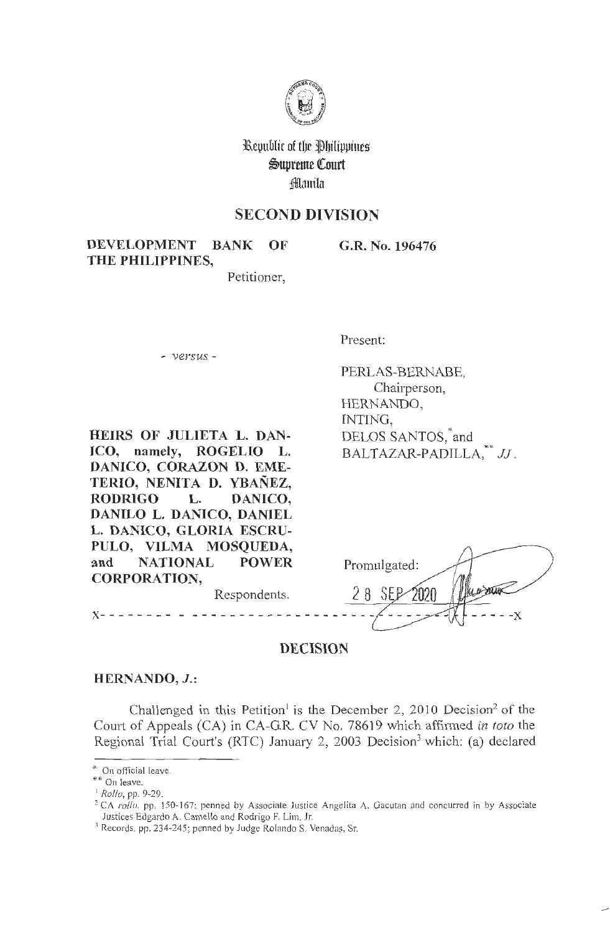

Republic of the Philippines  $\mathfrak{S}$ upreme Court ~1mtiln

# **SECOND DIVISION**

**DEVELOPMENT BANK OF THE PHILIPPINES,** 

**G.R. No. 196476** 

Petitioner,

- *versus* -

Present:

PERLAS-BERNABE, Chairperson, HERNANDO, INTING, DELOS SANTOS, and  $BALTAZAR-PADILLA, *^*JJ.$ 

**HEIRS OF JULIETA L. DAN-ICO, namely, ROGELIO L. DANICO, CORAZON D. EME-TERIO, NENITA D. YBANEZ,**  RODRIGO L. DANICO, **DANILO L. DANICO, DANIEL L. DANICO, GLORIA ESCRU-PULO, VILMA MOSQUEDA, and NATIONAL POWER CORPORATION,**  Respondents.

Promulgated: 28 SEP 2020 **x-** - - - - - - - - - - - - - - - - - - - - - - - - - - - - - - - - **-x** 

**DECISION** 

### **HERNANDO, J.:**

Challenged in this Petition<sup>1</sup> is the December 2, 2010 Decision<sup>2</sup> of the Court of Appeals (CA) in CA-GR. CV No. 78619 which affirmed *in toto* the Regional Trial Court's (RTC) January 2, 2003 Decision<sup>3</sup> which: (a) declared

<sup>2</sup> CA *rollo*, pp. 150-167; penned by Associate Justice Angelita A. Gacutan and concurred in by Associate Justices Edgardo A. Camello and Rodrigo F. Lim, Jr.

<sup>\*</sup> On official leave.

<sup>\*\*</sup> On leave.

<sup>1</sup> *Rollo,* pp. 9-29.

<sup>&</sup>lt;sup>3</sup> Records, pp. 234-245; penned by Judge Rolando S. Venadas, Sr.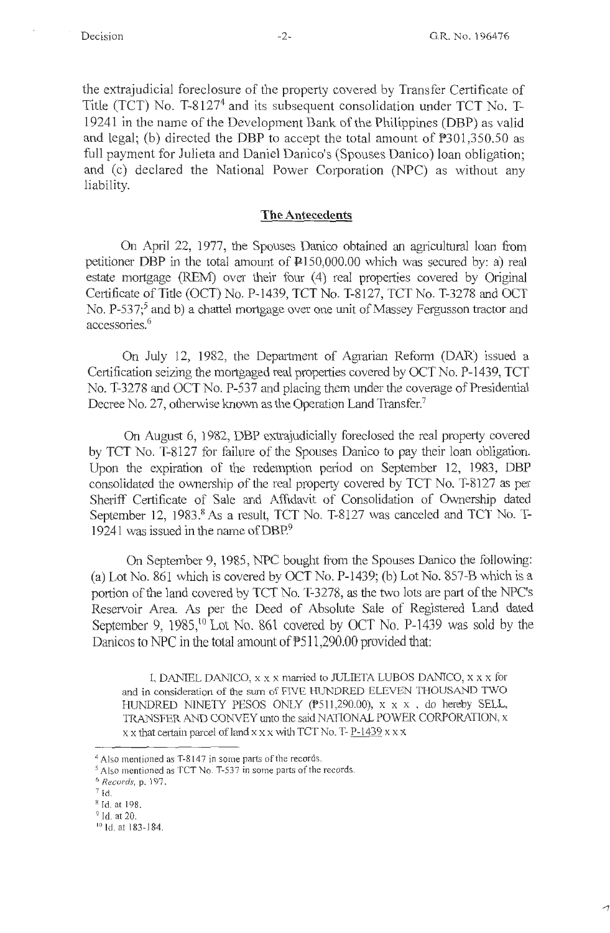the extrajudicial foreclosure of the property covered by Transfer Certificate of Title (TCT) No. T-81274 and its subsequent consolidation under TCT No. T-19241 in the name of the Development Bank of the Philippines (DBP) as val id and legal; (b) directed the DBP to accept the total amount of P301,350.50 as full payment for Julieta and Daniel Danice's (Spouses Danice) loan obligation; and (c) declared the National Power Corporation (NPC) as without any liability.

#### **The Antecedents**

On April 22, 1977, the Spouses Danico obtained an agricultural loan from petitioner DBP in the total amount of  $\text{P150,000.00}$  which was secured by: a) real estate mortgage (REM) over their four (4) real properties covered by Original Certificate of Title (OCT) No. P-1439, TCT No. T-8127, TCT No. T-3278 and OCT No. P-537;<sup>5</sup> and b) a chattel mortgage over one unit of Massey Fergusson tractor and accessories.<sup>6</sup>

On July 12, 1982, the Department of Agrarian Reform (DAR) issued a Certification seizing the mortgaged real properties covered by OCT No. P-1439, TCT No. T-3278 and OCT No. P-537 and placing them under the coverage of Presidential Decree No. 27, otherwise known as the Operation Land Transfer.<sup>7</sup>

On August 6, 1982, DBP extrajudicially foreclosed the real property covered by TCT No. T-8127 for failure of the Spouses Danica to pay their loan obligation. Upon the expiration of the redemption period on September 12, 1983, DBP consolidated the ownership of the real property covered by TCT No. T-8127 as per Sheriff Certificate of Sale and Affidavit of Consolidation of Ownership dated September 12, 1983.8 As a result, TCT No. T-8127 was canceled and TCT No. T-19241 was issued in the name of DBP.<sup>9</sup>

On September 9, 1985, NPC bought from the Spouses Danico the following: (a) Lot No. 861 which is covered by OCT No. P-1439; (b) Lot No. 857-B which is a portion of the land covered by TCT No. T-3278, as the two lots are part of the NPC's Reservoir Area. As per the Deed of Absolute Sale of Registered Land dated September 9,  $1985$ ,<sup>10</sup>Lot No. 861 covered by OCT No. P-1439 was sold by the Danicos to NPC in the total amount of  $P511,290.00$  provided that:

I, DANIEL DANICO, x x x manied to JULIETA LUBOS DANTCO, x x x for and in consideration of the sum of FIVE HUNDRED ELEVEN THOUSAND TWO HUNDRED NINETY PESOS ONLY (P511,290.00),  $x \times x$ , do hereby SELL, TRANSFER AND CONVEY unto the said NATIONAL POWER CORPORATION, x  $x \times x$  that certain parcel of land  $x \times x$  with TCT No. T- P-1439  $x \times x$ 

<sup>&</sup>lt;sup>4</sup> Also mentioned as T-8147 in some parts of the records.

*<sup>5</sup>* Also mentioned as TCT No. T-537 in some parts of the records.

<sup>0</sup>*Records,* p. 197.

<sup>7</sup> Id.

<sup>&</sup>lt;sup>8</sup> Id. at 198.

 $\frac{9}{10}$  Id. at 20.<br> $\frac{10}{10}$  Id. at 183-184.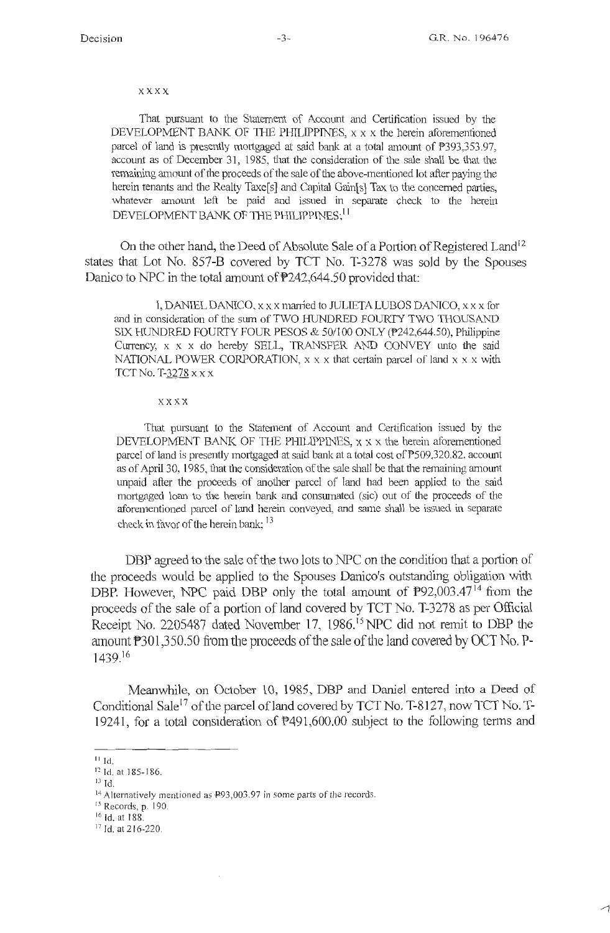#### xxxx

That pursuant to the Statement of Account and Certification issued by the DEVELOPMENT BANK OF THE PHILIPPINES, x x x the herein aforementioned parcel of land is presently mortgaged at said bank at a total amount of  $\overline{P}393.353.97$ , account as of December 31, 1985, that the consideration of the sale shall be that the remaining amount of the proceeds of the sale of the above-mentioned lot after paying the herein tenants and the Realty Taxe $[s]$  and Capital Gain $[s]$  Tax to the concerned parties, whatever amount left be paid and issued in separate check to the herein DEVELOPMENT BANK OF THE PHILIPPINES:<sup>[1</sup>]

On the other hand, the Deed of Absolute Sale of a Portion of Registered Land<sup>12</sup> states that Lot No. 857-B covered by TCT No. T-3278 was sold by the Spouses Danico to NPC in the total amount of P242,644.50 provided that:

I, DANIEL DANICO,  $x \times x$  married to JULIETA LUBOS DANICO,  $x \times x$  for and in consideration of the sum of TWO HUNDRED FOURTY TWO THOUSAND SIX HUNDRED FOURTY FOUR PESOS & 50/100 ONLY (P242,644.50), Philippine Currency,  $x \times x$  do hereby SELL, TRANSFER AND CONVEY unto the said NATIONAL POWER CORPORATION,  $x \times x$  that certain parcel of land  $x \times x$  with TCTNo. T-3278 xx x

#### **x xxx**

That pursuant to the Statement of Account and Certification issued by the DEVELOPMENT BANK OF THE PHILIPPINES,  $x \times x$  the herein aforementioned parcel of land is presently mortgaged at said bank at a total cost of P509,320.82, account as of April 30, 1985, that the consideration of the sale shall be that the remaining amount unpaid after the proceeds of another parcel of land had been applied to the said mortgaged loan to the herein bank and consumated (sic) out of the proceeds of the aforementioned parcel of land herein conveyed, and same shall be issued in separate check in favor of the herein bank; <sup>13</sup>

DBP agreed to the sale of the two lots to NPC on the condition that a portion of the proceeds would be applied to the Spouses Danico's outstanding obligation with DBP. However, NPC paid DBP only the total amount of  $P92,003.47<sup>14</sup>$  from the proceeds of the sale of a portion of land covered by TCT No. T-3278 as per Official Receipt No. 2205487 dated November 17, 1986.<sup>15</sup> NPC did not remit to DBP the amount P301,350.50 from the proceeds of the sale of the land covered by OCT No. P-1439.16

Meanwhile, on October 10, 1985, DBP and Daniel entered into a Deed of Conditional Sale<sup>17</sup> of the parcel of land covered by TCT No. T-8127, now TCT No. T-19241, for a total consideration of P491,600.00 subject to the following tenns and

 $^{13}$  Id.

15 Records, p. 190.

 $^{11}$  Id.

<sup>12</sup> ld. at 185- 186.

<sup>&</sup>lt;sup>14</sup> Alternatively mentioned as P93,003.97 in some parts of the records.

<sup>16</sup> Id. at 188.

<sup>&</sup>lt;sup>17</sup> Id. at 216-220.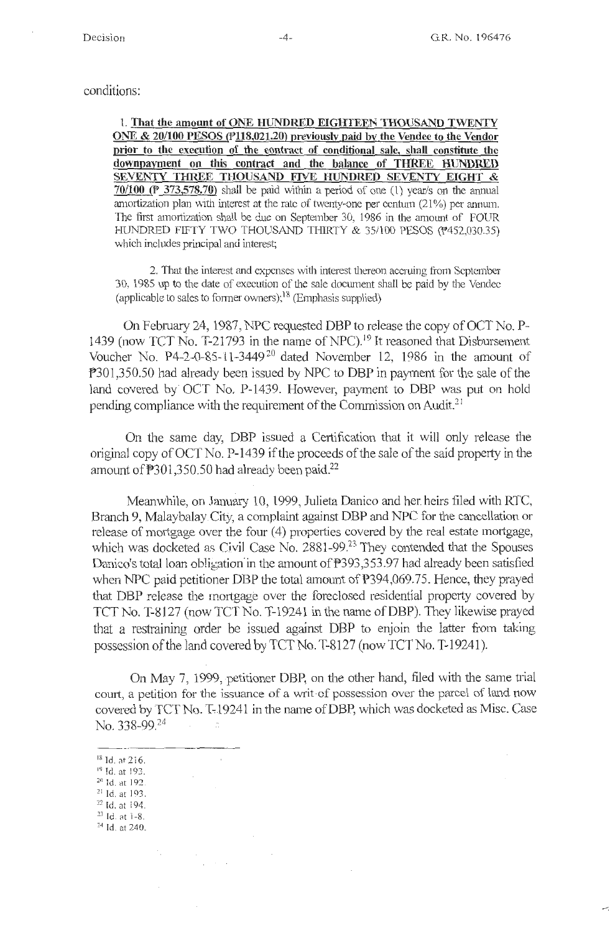#### conditions:

l. **That the amount of ONE HUNDRED EIGHTEEN THOUSAND TWENTY ONE & 20/100 PESOS (P118,021.20) previously paid by the Vendee to the Vendor prior to the execution of the contract of conditional sale, shall constitute the downpayment on this contract and the balance of THREE HUNDRED SEVENTY TlfilEE THOUSAND FIVE HUNDRED SEVENTY EIGHT** & **70/l00\_(P 373,578.70}** shall be paid Vvithin a period of one (1) year/s on the annual amortization plan with interest at the rate of twenty-one per centum  $(21%)$  per annum. The first amortization shall be due on September 30, 1986 in the amount of FOUR HUNDRED FIFTY TWO THOUSAND THIRTY  $& 35/100$  PESOS ( $452,030.35$ ) which includes principal and interest;

2. That the interest and expenses with interest thereon accruing from September 30, 1985 up to the date of execution of the sale document shall be paid by the Vendee (applicable to sales to former owners);  $18$  (Emphasis supplied)

On February 24, 1987, NPC requested DBP to release the copy of OCT No. P-1439 (now TCT No. T-21793 in the name of NPC).<sup>19</sup> It reasoned that Disbursement Voucher No. P4-2-0-85-11-3449 20 dated November 12, 1986 in the amount of P301,350.50 had already been issued by NPC to DBP in payment for the sale of the land covered by' OCT No. P-1439. However, payment to DBP was put on hold pending compliance with the requirement of the Commission on Audit.<sup>21</sup>

On the same day, DBP issued a Certification that it will only release the original copy of OCT No. P-1439 if the proceeds of the sale of the said property in the amount of  $\text{\texttt{P}}301,350.50$  had already been paid.<sup>22</sup>

Meanwhile, on January 10, 1999, Julieta Danico and her. heirs filed with RTC, Branch 9, Malaybalay City, a complaint against DBP and NPC for the cancellation or release of mortgage over the four  $(4)$  properties covered by the real estate mortgage, which was docketed as Civil Case No.  $2881-99<sup>23</sup>$  They contended that the Spouses Danico's total loan obligation in the amount of P393,353.97 had already been satisfied when NPC paid petitioner DBP the total amount of P394,069.75. Hence, they prayed that DBP release the mortgage over the foreclosed residential property covered by TCT No. T-8127 (now TCT No. T-19241 in the name of DBP). They likewise prayed that a restraining order be issued against DBP to enjoin the latter from taking possession of the land covered by TCT No. T-8127 (now TCT No. T-19241 ).

On May 7, 1999, petitioner DBP, on the other hand, filed with the same trial court, a petition for the issuance of a writ-of possession over the parcel of land now covered by TCT No. T-19241 in the name of DBP, which was docketed as Misc. Case No. 338-99.<sup>24</sup> ---··--------- IR Id. a1· 216.

<sup>19</sup> Id. at 193.<br><sup>20</sup> Id. at 192.<br><sup>21</sup> Id. at 193. 22 Id. at i 94.  $23$  Id. at  $1-8$ .  $24$  Id. at 240.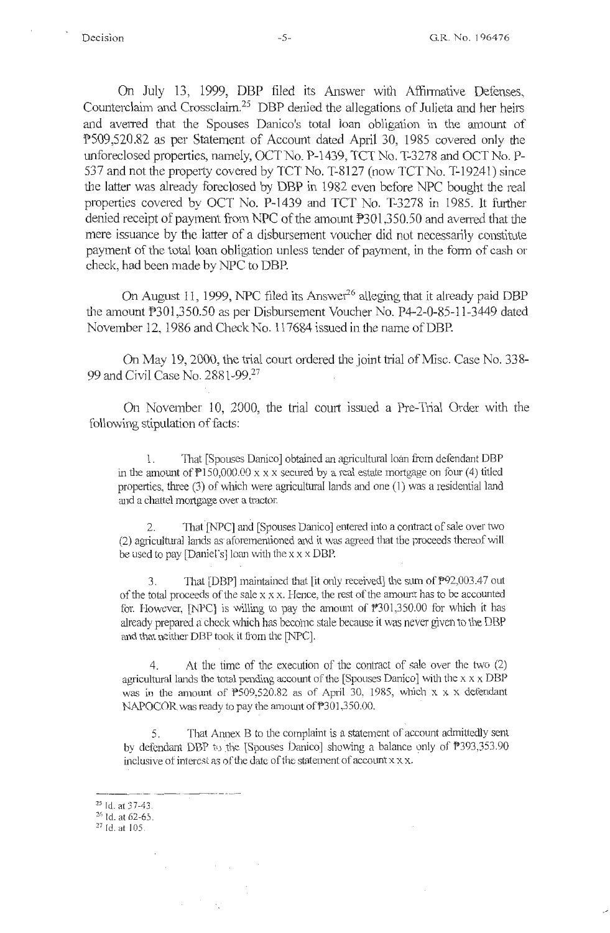On July 13, 1999, DBP filed its Answer with Affirmative Defenses, Counterclaim and Crossclaim.<sup>25</sup> DBP denied the allegations of Julieta and her heirs and averred that the Spouses Danico's total loan obligation in the amount of '?509,520.82 as per Statement of Account dated April 30, 1985 covered only the unforeclosed properties, namely, OCT No. P-1439, TCT No. T-3278 and OCT No. P-537 and not the property covered by TCT No. T-8127 (now TCT No. T-19241) since the latter was already foreclosed by DBP in 1982 even before NPC bought the real properties covered by OCT No. P-1439 and TCT No. T-3278 in 1985. It further denied receipt of payment from NPC of the amount  $P301,350.50$  and averred that the mere issuance by the latter of a disbursement voucher did not necessarily constitute payment of the total loan obligation unless tender of payment, in the form of cash or check, had been made by NPC to DBP.

On August 11, 1999, NPC filed its Answer<sup>26</sup> alleging that it already paid DBP the amount P301,350.50 as per Disbursement Voucher No. P4-2-0-85-11-3449 dated November 12, 1986 and Check No. 117684 issued in the name of DBP.

On May 19, 2000, the trial court ordered the joint trial of Misc. Case No. 338- 99 and Civil Case No. 2881-99.<sup>27</sup>

On November 10, 2000, the trial court issued a Pre-Trial Order with the following stipulation of facts:

1. That [Spouses Danico] obtained an agricultural loan from defendant DBP in the amount of  $P150,000.00 \times x \times x$  secured by a real estate mortgage on four (4) titled properties, three  $(3)$  of which were agricultural lands and one  $(1)$  was a residential land and a chattel mortgage over a tractor.

2. That [NPC] and [Spouses Danico] entered into a contract of sale over two (2) agricultural lands as aforementioned and it was agreed that the proceeds thereof will be used to pay [Daniel's] loan with the  $x \times DBP$ .

3. That [DBP] maintained that [it only received] the sum of  $P92,003.47$  out of the total proceeds of the sale x x x. Hence, the rest of the arnoum has to be accounted for. However,  $[NPC]$  is willing to pay the amount of  $P301,350.00$  for which it has already prepared a check which has become stale because it was never given to the DBP and that neither DBP took it from the [NPC].

4. At the time of the execution of the contract of sale over the two (2) agricultural lands the total pending account of the [Spouses Danico] with the  $x \times X$  DBP was in the amount of  $P509,520.82$  as of April 30, 1985, which x x x defendant NAPOCOR was ready to pay the amount of P301,350.00.

5. That Annex B to the complaint is a statement of account admittedly sent by defendant DBP to the [Spouses Danico] showing a balance only of  $\overline{P}393,353.90$ inclusive of interest as of the date of the statement of account x x x.

 $^{25}$  Id. at 37-43.<br> $^{26}$  Id. at 62-65.

<sup>&</sup>lt;sup>27</sup> Id. at 105.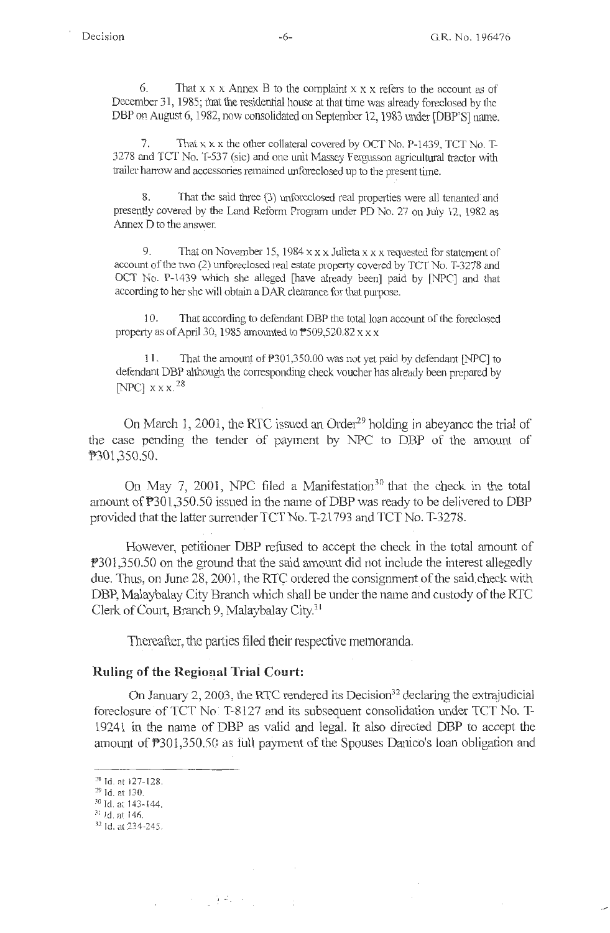6. That  $x \times x$  Annex B to the complaint  $x \times x$  refers to the account as of December 31, 1985; that the residential house at that time was already foreclosed by the DBP on August 6, 1982, now consolidated on September 12, 1983 under [DBP'S] name.

That  $x \times x$  the other collateral covered by OCT No. P-1439, TCT No. T-3278 and TCT No. T-537 (sic) and one unit Massey Fergusson agricultural tractor with trailer harrow and accessories remained unforeclosed up to the present time.

That the said three (3) unforeclosed real properties were all tenanted and presently covered by the Land Reform Program under PD No. 27 on July 12, 1982 as Annex D to the answer.

9. That on November 15, 1984 xx x Julieta xx x requested for statement of accOlmt of the two (2) unforeclosed real estate property covered by TCT No. T-3278 and OCT No. P-1439 which she alleged [have already been] paid by [NPC] and that according to her she will obtain a DAR clearance for that purpose.

10. That according to defendant DBP the total loan account of the foreclosed property as of April 30, 1985 amounted to  $P$ 509,520.82 x x x

11. That the amount of  $\text{\textdegree}301,350.00$  was not yet paid by defendant [NPC] to defendant DBP although the corresponding check voucher has already been prepared by [NPC]  $\times \times \times$ <sup>28</sup>

On March 1, 2001, the RTC issued an Order<sup>29</sup> holding in abeyance the trial of the case pending the tender of payment by NPC to DBP of the amount of P301,350.50.

On May 7, 2001, NPC filed a Manifestation<sup>30</sup> that the check in the total amount of P301,350.50 issued in the name of DBP was ready to be delivered to DBP provided that the latter surrender TCT No. T-21793 and TCT No. T-3278.

However, petitioner DBP refused to accept the check in the total amount of P301,350.50 on the ground that the said amount did not include the interest allegedly due. Thus, on June 28, 2001, the RTC ordered the consignment of the said check with DBP, Malaybalay City Branch which shall be under the name and custody of the RTC Clerk of Court, Branch 9, Malaybalay City.<sup>31</sup>

Thereafter, the parties filed their respective memoranda.

### **Ruling of the Regional Trial Court:**

2000年1月第5日

On January 2, 2003, the RTC rendered its Decision<sup>32</sup> declaring the extrajudicial foreclosure of TCT No<sup>r-8127</sup> and its subsequent consolidation under TCT No. T-19241 in the name of DBP as valid and legal. It also directed DBP to accept the amount of P301,350.50 as full payment of the Spouses Danico's loan obligation and

<sup>&</sup>lt;sup>28</sup> Id. at 127-128.

<sup>&</sup>lt;sup>29</sup> Id. at 130.<br><sup>30</sup> Id. at 143-144.<br><sup>31</sup> Id. at 146.

<sup>&</sup>lt;sup>32</sup> Id. at 234-245.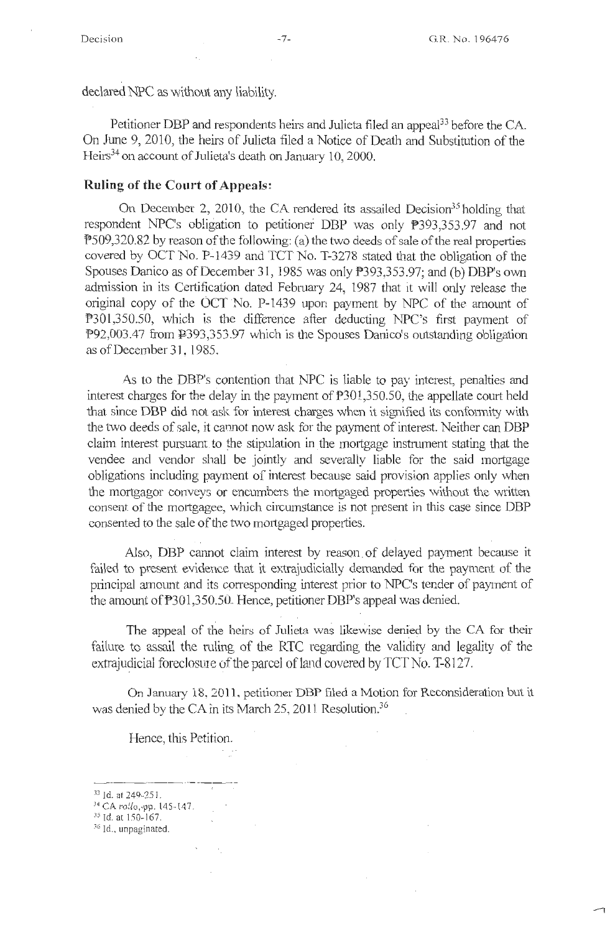declared NPC as without any liability.

Petitioner DBP and respondents heirs and Julieta filed an appeal<sup>33</sup> before the CA. On June 9, 2010, the heirs of Julieta filed a Notice of Death and Substitution of the Heirs<sup>34</sup> on account of Julieta's death on January 10, 2000.

### **Ruling of the Court of Appeals:**

On December 2, 2010, the CA rendered its assailed Decision<sup>35</sup> holding that respondent NPC's obligation to petitioner DBP was only P393,353.97 and not P509 ,320.82 by reason of the following: ( a) the two deeds of sale of the real properties covered by OCT No. P-1439 and TCT No. T-3278 stated that the obligation of the Spouses Danico as of December 31, 1985 was only P393,353.97; and (b) DBP's own admission in its Certification dated February 24, 1987 that it will only release the original copy of the OCT No. P-1439 upon payment by NPC of the amount of P301,350.50, which is the difference after deducting NPC's first payment of P92,003.47 from P393,353.97 which is the Spouses Danico's outstanding obligation as of December 31, 1985.

As to the DBP's contention that NPC is liable to pay interest, penalties and interest charges for the delay in the payment of P301.,350.50, the appellate court held that since DBP did not ask for interest charges when it signified its conformity with the two deeds of sale, it cannot now ask for the payment of interest. Neither can DBP claim interest pursuant. to the stipulation in \_the mortgage instrument stating that the vendee and vendor shall be jointly and severally liable for the said mortgage obligations including payment of interest because said provision applies only when the mortgagor conveys or encumbers the mortgaged properties without the written consent. of the mortgagee, which circumstance is not present in this case since DBP consented to the sale of the two mortgaged properties.

AJso, DBP carmot claim interest by reason. of delayed payment because it failed to present evidence that it extrajudicially demanded for the payment of the principal amount and its corresponding interest prior to NPC's tender of payment of the amount of P301,350.50.. Hence, petitioner DBP's appeal was denied.

The appeal of the heirs of Julieta was likewise denied by the CA for their failure to assail the ruling of the RTC regarding the validity and legality of the extrajudicial foreclosure of the parcel of land covered by TCT No. T-8127.

On January 18, 2011, petitioner **DBP** filed a Motion for Reconsideration but it was denied by the CA in its March 25, 2011 Resolution.<sup>36</sup>

Hence, this Petition.

- $33$  Id. at 249-251.
- 34 CA rollo, pp. 145-147.
- <sup>35</sup> Id. at 150-167.
- <sup>36</sup> Id., unpaginated.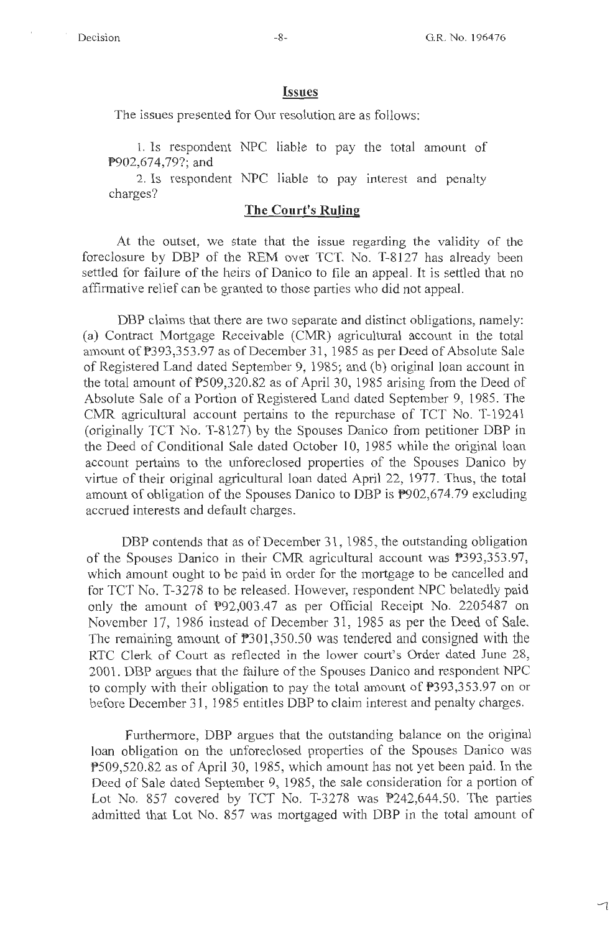#### **Issues**

The issues presented for Our resolution are as follows:

1. Is respondent NPC liable to pay the total amount of P902,674,79?; and

2. Is respondent NPC liable to pay interest and penalty charges?

### **The Court's Ruling**

At the outset, we state that the issue regarding the validity of the foreclosure by DBP of the REM over TCT. No. T-8127 has already been settled for failure of the heirs of Danico to file an appeal. It is settled that no affirmative relief can be granted to those parties who did not appeal.

DBP claims that there are two separate and distinct obligations, namely: (a) Contract Mortgage Receivable (CMR) agricultural account in the total amount of P393,353.97 as of December 31, 1985 as per Deed of Absolute Sale of Registered Land dated September 9, 1985; and (b) original loan account in the total amount of  $P509,320.82$  as of April 30, 1985 arising from the Deed of Absolute Sale of a Portion of Registered Land dated September 9, 1985. The CMR agricultural account pertains to the repurchase of TCT No. T-19241 ( originally TCT No. T-8127) by the Spouses Danico from petitioner DBP in the Deed of Conditional Sale dated October 10, 1985 while the original loan account pertains to the unforeclosed properties of the Spouses Danico by virtue of their original agricultural loan dated April 22, 1977. Thus, the total amount of obligation of the Spouses Danico to DBP is  $\overline{P}902,674.79$  excluding accrued interests and default charges.

DBP contends that as of December 31, 1985, the outstanding obligation of the Spouses Danico in their CMR agricultural account was  $P393,353.97$ , which amount ought to be paid in order for the mortgage to be cancelled and for TCT No. T-3278 to be released. However, respondent NPC belatedly paid only the amount of P92,003.47 as per Official Receipt No. 2205487 on November 17, 1986 instead of December 31, 1985 as per the Deed of Sale. The remaining amount of  $\text{\textdegree{}}301,350.50$  was tendered and consigned with the RTC Clerk of Court as reflected in the lower court's Order dated June 28, 2001. DBP argues that the failure of the Spouses Danico and respondent NPC to comply with their obligation to pay the total amount of  $P393,353.97$  on or before December 31, 1985 entitles DBP to claim interest and penalty charges.

Furthermore, DBP argues that the outstanding balance on the original loan obligation on the unforeclosed properties of the Spouses Danica was ?509,520.82 as of April 30, 1985, which amount has not yet been paid. In the Deed of Sale dated September 9, 1985, the sale consideration for a portion of Lot No. 857 covered by TCT No. T-3278 was  $P242,644.50$ . The parties admitted that Lot No. 857 was mortgaged with DBP in the total amount of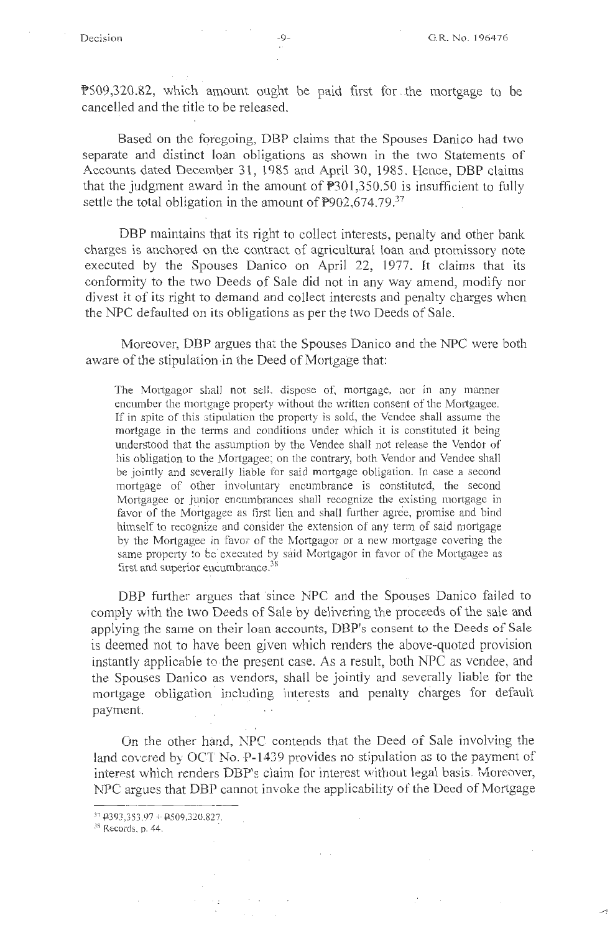P509,320.82, which amount ought be paid first for . the mortgage to be cancelled and the title to be released.

Based on the foregoing, DBP claims that the Spouses Danico had two separate and distinct loan obligations as shown in the two Statements of Accounts dated December 31, 1985 and April 30, 1985. Hence, DBP claims that the judgment award in the amount of P301 ,350.50 is insufficient to fully settle the total obligation in the amount of  $P902,674.79^{37}$ 

DBP maintains that its right to collect interests, penalty and other bank charges is anchored on the contract of agricultural loan and promissory note executed by the Spouses Danico on April 22, 1977. It claims that its conformity to the two Deeds of Sale did not in any way amend, modify nor divest it of its right to demand and collect interests and penalty charges when the NPC defaulted on its obligations as per the two Deeds of Sale.

Moreover, DBP argues that the Spouses Danico and the NPC were both aware of the stipulation in the Deed of Mortgage that:

The Mortgagor shall not sell, dispose of, mortgage, nor in any manner encumber the mortgage property without the written consent of the Mortgagee. If in spite of this stipulation the property is sold, the Vendee shall assume the mortgage in the terms and conditions under which it is constituted it being understood that the assumption by the Vendee shall not release the Vendor of his obligation to the Mortgagee; on the contrary, both Vendor and Vendee shall be jointly and severally liable for said mortgage obligation. In case a second mortgage of other involuntary encumbrance is constituted, the second Mortgagee or junior encumbrances shall recognize the existing mortgage in favor of the Mortgagee as first lien and shall further agree, promise and bind himself to recognize and consider the extension of any term of said mortgage by the Mortgagee in favor of the Mortgagor or a new mortgage covering the same property to be executed by said Mortgagor in favor of the Mortgagee as first and superior encumbrance. $38$ 

DBP further argues that since NPC and the Spouses Danico failed to comply with the two Deeds of Sale by delivering the proceeds of the sale and applying the same on their loan accounts, DBP's consent to the Deeds of Sale is deemed not to have been given which renders the above-quoted provision instantly applicable to the present case. As a result, both NPC as vendee, and the Spouses Danico as vendors, shall be jointly and severally liable for the mortgage obligation including interests and penalty charges for default payment.

On the other hand, NPC contends that the Deed of Sale involving the land covered by OCT No. P-1439 provides no stipulation as to the payment of interest which renders DBP's claim for interest without legal basis. Moreover, NPC argues that DBP cannot invoke the applicability of the Deed of Mortgage

 $37$  P393,353.97 + P509,320.827.

 $18$  Records, p. 44.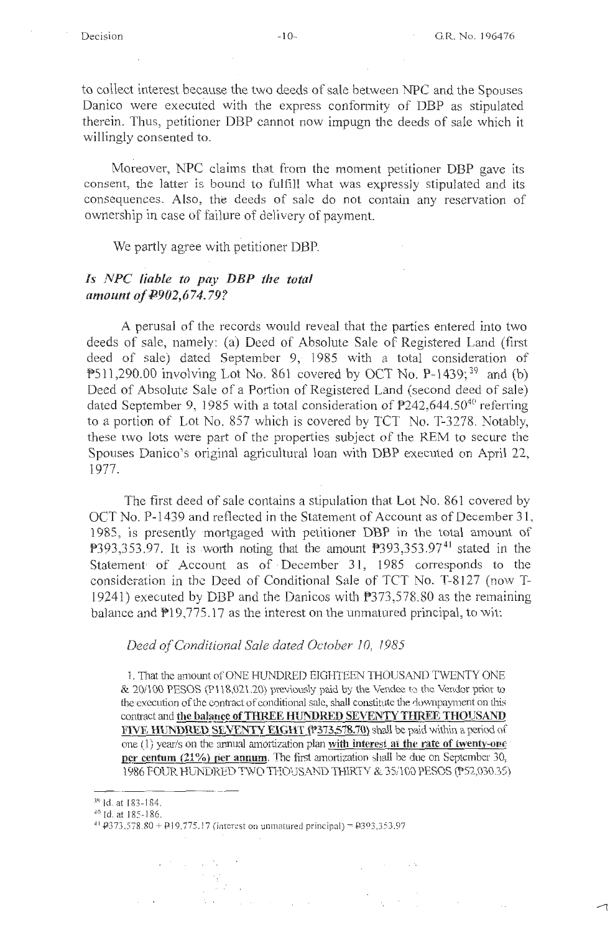$\sim 10^7$ 

ᅿ

to collect interest because the two deeds of sale between NPC and the Spouses Danico were executed with the express conformity of DBP as stipulated therein. Thus, petitioner DBP cannot now impugn the deeds of sale which it willingly consented to.

Moreover, NPC claims that from the moment petitioner DBP gave its consent, the latter is bound to fulfill what was expressly stipulated and its consequences. Also, the deeds of sale do not contain any reservation of ownership in case of failure of delivery of payment.

We partly agree with petitioner DBP.

### *ls NPC liable to pay DBP the total amount of*  $\text{\textsterling}902,674.79$ *?*

A perusal of the records would reveal. that the parties entered into two deeds of sale, nameiy: (a) Deed of Absolute Sale of Registered Land (first deed of sale) dated September 9, 1985 with a total consideration of  $P511,290.00$  involving Lot No. 861 covered by OCT No. P-1439;<sup>39</sup> and (b) Deed of Absolute Sale of a Portion of Registered Land (second deed of sale) dated September 9, 1985 with a total consideration of  $P242,644.50^{40}$  referring to a portion of Lot No. 857 which is covered by TCT No. T-3278. Notably, these two lots were part of the properties subject of the REM to secure the Spouses Danico's original agricultural loan with DBP executed on April 22, 1977.

The first deed of sale contains a stipulation that Lot No. 861 covered by OCT No. P-1439 and reflected in the Statement of Account as of December 31, 1985, is presently ·mortgaged with petitioner DBP in the total amount of  $P393,353.97$ . It is worth noting that the amount  $P393,353.97<sup>41</sup>$  stated in the Statement of Account as of December 31, 1985 corresponds to the consideration in the Deed of Conditional Sale of TCT No. T-8127 (now T-19241) executed by DBP and the Danicos with P373,578.80 as the remaining balance and  $P19,775.17$  as the interest on the unmatured principal, to wit:

### *Deed of Conditional Sale dated October I 0, l 985*

1. That the amount of ONE HUNDRED EIGHTEEN THOUSAND TWENTY ONE & 20/100 PESOS (Pl 18,021.20) previously paid by the Vendee 1:o the Vendor prior to the execution of the contract of conditional sale, shall constitute the downpayment on this contract and the balance of THREE HUNDRED SEVENTY THREE THOUSAND **FIVE HUNDRED SEVENTY EIGHT (P373,578.70)** shall be paid within a period of one (1) year/s on the annual amortization plan with interest at the rate of twenty-one **filtr centum (21%) per annum.** The first amortization shall be due on September 30, 1986 FOUR HUNDRED TWO THOUSAND THIRTY & 35/100 PESOS (P52,030.35)

 $\mathcal{L}_\mathrm{c}$  and  $\mathcal{L}_\mathrm{c}$ 

 $\mathcal{L}^{\text{max}}(\mathcal{L}^{\text{max}})$  , where  $\mathcal{L}^{\text{max}}(\mathcal{L}^{\text{max}})$ 

大雪  $\alpha$  ,  $\beta$  $\mathcal{V}_\mathrm{c}=\mathcal{V}$ 

 $\frac{39}{40}$  Id. at 183-184.<br> $\frac{40}{40}$  Id. at 185-186.

 $41$   $+373,578.80 + +19.775.17$  (interest on unmatured principal) =  $+393,353.97$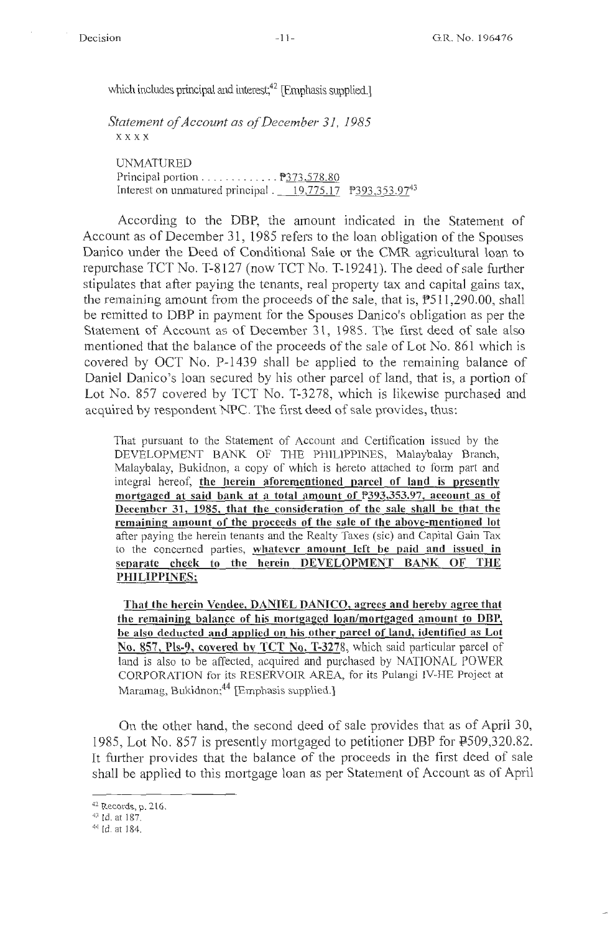which includes principal and interest;<sup>42</sup> [Emphasis supplied.]

*Statement of Account as of December 31, 1985*  **xxxx** 

UNMATURED Principal portion . . . . . . . . . . . . . 9373,578.80 Interest on unmatured principal .  $19,775.17$  P393,353.97<sup>43</sup>

According to the DBP, the amount indicated in the Statement of Account as of December 31, 1985 refers to the loan obligation of the Spouses Danico under the Deed of Conditional Sale or the CMR agricultural loan to repurchase TCT No. T-8127 (now TCT No. T-19241 ). The deed of sale further stipulates that after paying the tenants, real property tax and capital gains tax, the remaining amount from the proceeds of the sale, that is,  $P511,290.00$ , shall be remitted to DBP in payment for the Spouses Danico's obligation as per the Statement of Account as of December 31, 1985. The first deed of sale also mentioned that the balance of the proceeds of the sale of Lot No. 861 which is covered by OCT No. P-1439 shall be applied to the remaining balance of Daniel Danico's loan secured by his other parcel of land, that is, a portion of Lot No. 857 covered by TCT No. T-3278, which is likewise purchased and acquired by respondent NPC. The first deed of sale provides, thus:

That pursuant to the Statement of Account and Certification issued by the DEVELOPMENT BANK OF THE PHILIPPINES, Malaybalay Branch, Malaybalay, Bukidnon, a copy of which is hereto attached to form part and integral hereof, **the herein aforementioned parcel of land is presently mortgaged at said bank at a total amount of P393,353.97, account as of December 31, 1985, that the consideration of the sale shall be that the remaining amount of the proceeds of the sale of the above-mentioned lot**  after paying the herein tenants and the Realty Taxes (sic) and Capital Gain Tax to the concerned parties, **whatever amount left be paid and issued in separate check to the herein DEVELOPMENT BANK OF THE PHILIPPINES;** 

**That the herein Vendee, DANIEL DANICO, agrees and hereby agree that the remaining balance of his mortgaged loan/mortgaged amount to DBP, be also deducted and applied on his other parcel of land, identified as Lot**  No. 857, Pls-9, covered by TCT No. T-3278, which said particular parcel of land is also to be affected, acquired and purchased by NATIONAL POWER CORPORATION for its RESERVOIR AREA, for its Pulangi IV-HE Project at Maramag, Bukidnon;<sup>44</sup> [Emphasis supplied.]

On the other hand, the second deed of sale provides that as of April 30, 1985, Lot No. 857 is presently mortgaged to petitioner DBP for P509,320.82. It further provides that the balance of the proceeds in the first deed of sale shall be applied to this mortgage loan as per Statement of Account as of April

<sup>42</sup> Records, p. 216.<br> $43$  Id. at 187.<br> $44$  Id. at 184.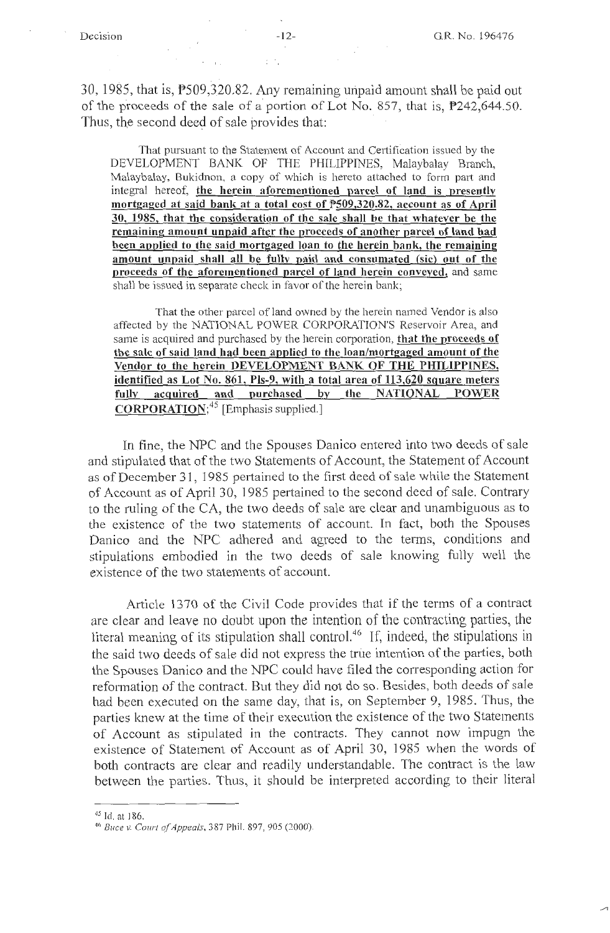$30, 1985$ , that is,  $P509, 320.82$ . Any remaining unpaid amount shall be paid out of the proceeds of the sale of a portion of Lot No. 857, that is,  $P$ 242,644.50. Thus, the second deed of sale provides that:

That pursuant to the Statement of Account and Certification issued by the DEVELOPMENT BANK OF THE PHILIPPINES, Malaybalay Branch, Malaybalay, Bukidnon, a copy of which is hereto attached to form part and integral hereof, **the herein aforementioned parcel of land is presentlv**  mortgaged at said bank at a total cost of **P509,320.82**, account as of April **30, 1985, that the consideration of the sale shall be that whatever be the remaining amount unpaid after the proceeds of another parcel of land had been applied to the said mortgaged loan to the herein bank, the remaining amount unpaid shall all be fully paid and consumated (sic) out of the proceeds of the aforementioned parcel of land herein conveyed,** and same shall be issued in separate check in favor of the herein bank;

That the other parcel of land owned by the herein named Vendor is also affected by the NATIONAL POWER CORPORATION'S Reservoir Area, and same is acquired and purchased by the herein corporation, **that the proceeds of the sale of said land had been applied to the loan/mortgaged amount of the Vendor to the herein DEVELOPMENT BANK OF THE PHILIPPINES, identified as Lot No. 861, Pls-9, with a total area of 113,620 square meters fully acquired and purchased by the NATIONAL POWER CORPORATION;45** [Emphasis supplied.)

In fine, the NPC and the Spouses Danico entered into two deeds of sale and stipulated that of the two Statements of Account, the Statement of Account as of December 31, 1985 pertained to the first deed of sale while the Statement of Account as of April 30, 1985 pertained to the second deed of sale. Contrary to the ruling of the CA, the two deeds of sale are clear and unambiguous as to the existence of the two statements of account. In fact, both the Spouses Danico and the NPC adhered and agreed to the terms, conditions and stipulations embodied in the two deeds of sale knowing fully well the existence of the two statements of account.

Article 1370 of the Civil Code provides that if the terms of a contract are clear and leave no doubt upon the intention of the contracting parties, the literal meaning of its stipulation shall control.46 If, indeed, the stipulations in the said two deeds of sale did not express the true intention of the parties, both the Spouses Danico and the NPC could have filed the corresponding action for reformation of the contract. But they did not do so. Besides, both deeds of sale had been executed on the same day, that is, on September 9, 1985. Thus, the parties knew at the time of their execution the existence of the two Statements of Account as stipulated in the contracts. They cannot now impugn the existence of Statement of Account as of April 30, 1985 when the words of both contracts are clear and readily understandable. The contract is the law between the parties. Thus, it should be interpreted according to their literal

<sup>45</sup> Id. at 186.

<sup>&</sup>lt;sup>46</sup> Buce v. Court of Appeals, 387 Phil. 897, 905 (2000).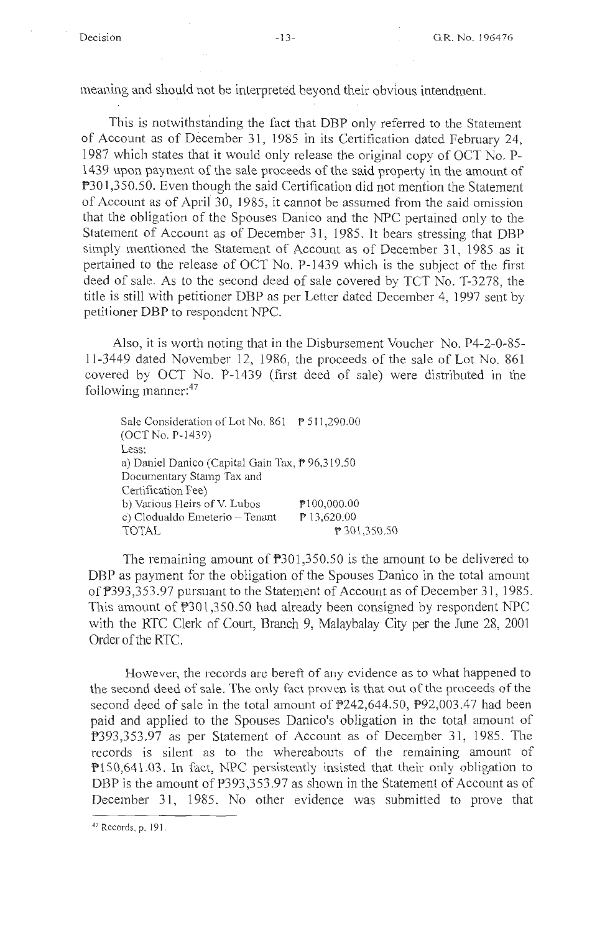meaning and should not be interpreted beyond their obvious intendment.

This is notwithstanding the fact that DBP only referred to the Statement of Account as of December 31, 1985 in its Certification dated February 24, 1987 which states that it would only release the original copy of OCT No. P-1439 upon payment of the sale proceeds of the said property in the amount of P301,350.50. Even though the said Certification did not mention the Statement of Account as of April 30, 1985, it cannot be assumed from the said omission that the obligation of the Spouses Danico and the NPC pertained only to the Statement of Account as of December 31, 1985. It bears stressing that DBP simply mentioned the Statement of Account as of December 31, 1985 as it pertained to the release of OCT No. P-1439 which is the subject of the first deed of sale. As to the second deed of sale covered by TCT No. T-3278, the title is still with petitioner DBP as per Letter dated December 4, 1997 sent by petitioner DBP to respondent NPC.

Also, it is worth noting that in the Disbursement Voucher No. P4-2-0-85 l l-3449 dated November 12, 1986, the proceeds of the sale of Lot No. 861 covered by OCT No. P-1439 (first deed of sale) were distributed in the following manner: $47$ 

Sale Consideration of Lot No. 861 \\ \ \ \ \ 511,290.00 (OCT No. P-1439) Less: a) Daniel Danica (Capital Gain Tax, P 96,319.50 Documentary Stamp Tax and Certification Fee) b) Various Heirs of V. Lubos c) Clodualdo Emeterio - Tenant TOTAL Pl 00,000.00 P 13,620.00 P 301,350.50

The remaining amount of  $P301,350.50$  is the amount to be delivered to DBP as payment for the obligation of the Spouses Danico in the total amount of P393,353 .97 pursuant to the Statement of Account as of December 31, 1985. This amount of P301,350.50 had already been consigned by respondent NPC with the RTC Clerk of Court, Branch 9, Malaybalay City per the June 28, 2001 Order of the RTC.

However, the records are bereft of any evidence as to what happened to the second deed of sale. The only fact proven is that out of the proceeds of the second deed of sale in the total amount of P242,644.50, P92,003 .47 had been paid and applied to the Spouses Danica's obligation in the total amount of ?393,353.97 as per Statement of Account as of December 31, 1985. The records is silent as to the whereabouts of the remaining amount of Pl50,641.03. In fact, NPC persistently insisted that their only obligation to DBP is the amount of P393,353.97 as shown in the Statement of Account as of December 31, 1985. No other evidence was submitted to prove that

<sup>47</sup> Records, p. 191.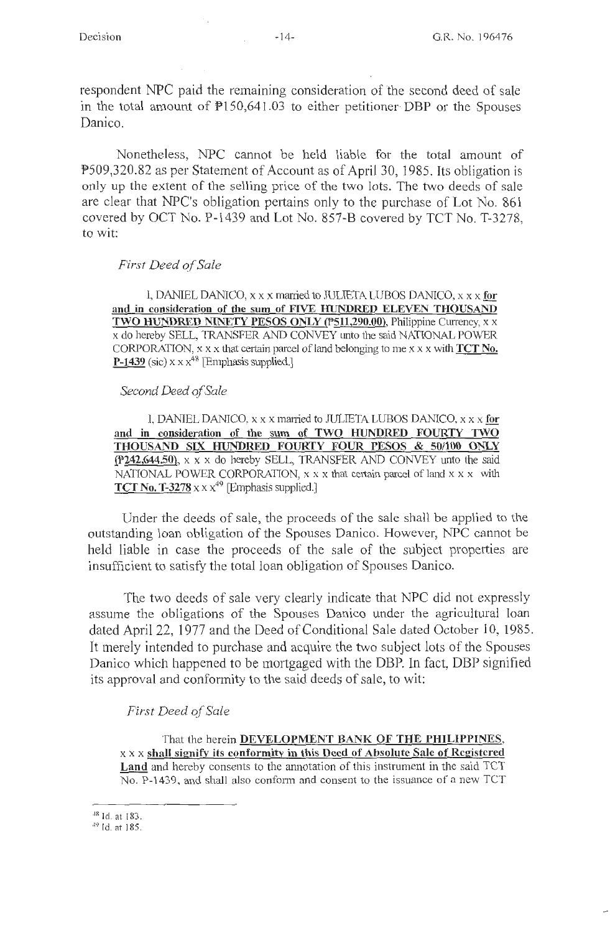respondent NPC paid the remaining consideration of the second deed of sale in the total amount of  $P150,641.03$  to either petitioner DBP or the Spouses Danico.

Nonetheless, NPC cannot be held liable for the total amount of P509,320.82 as per Statement of Account as of April 30, ] 985. Its obligation is only up the extent of the selling price of the two lots. The two deeds of sale are clear that NPC's obligation pertains only to the purchase of Lot No. 861 covered by OCT No. P-1439 and Lot No. 857-B covered by TCT No. T-3278, to wit:

#### *First Deed of Sale*

1, DANIEL DANJCO, xx x mm.Tied to JULIETA LUBOS DANICO, x x x **for**  and in consideration of the sum of FIVE HUNDRED ELEVEN THOUSAND **TWO HUNDRED NINETY PESOS ONLY (P511,290.00), Philippine Currency, x x** x do hereby SELL, TRANSFER AND CONVEY unto the said NATIONAL POWER CORPORATION, xx x that certain parcel of land belonging to me xx x with **TCT No. P-1439** (sic)  $x \times x^{48}$  [Emphasis supplied.]

#### *Second Deed of Sale*

I, DANIEL DANICO, x x x married to JULIETA LUBOS DANICO, x x x for **and in consideration of the sum of TWO HUNDRED FOURTY TWO THOUSAND SIX HUNDRED FOUR.TY FOUR PESOS** & **50/100 ONLY {P242,644.50),** x x x do hereby SELL, TRANSFER AND CONVEY unto the said NATIONAL POWER CORPORATION, x x x that certain parcel of land x x x with **TCT No. T-3278**  $x \times x^{49}$  [Emphasis supplied.]

Under the deeds of sale, the proceeds of the sale shall be applied to the outstanding loan obligation of the Spouses Danico. However, NPC cannot be held liable in case the proceeds of the sale of the subject properties are insufficient to satisfy the total loan obligation of Spouses Danico.

The two deeds of sale very clearly indicate that NPC did not expressly assume the obligations of the Spouses Danico under the agricultural loan dated April 22, 1977 and the Deed of Conditional Sale dated October 10, 1985. It merely intended to purchase and acquire the two subject lots of the Spouses Danico which happened to be mortgaged with the DBP. In fact, DBP signified its approval and conformity to the said deeds of sale, to wit:

### *First Deed of Sale*

That the herein **DEVELOPMENT BANK OF THE PHILIPPINES,**  xx x **shall signify its conformity in this Deed of Absolute Sale of Registered Land** and hereby consents to the annotation of this instrument in the said TCT No. P-1439, and shall also conform and consent to the issuance of a new TCT

<sup>48</sup>Id. at 183.

<sup>49</sup>Id. at 185.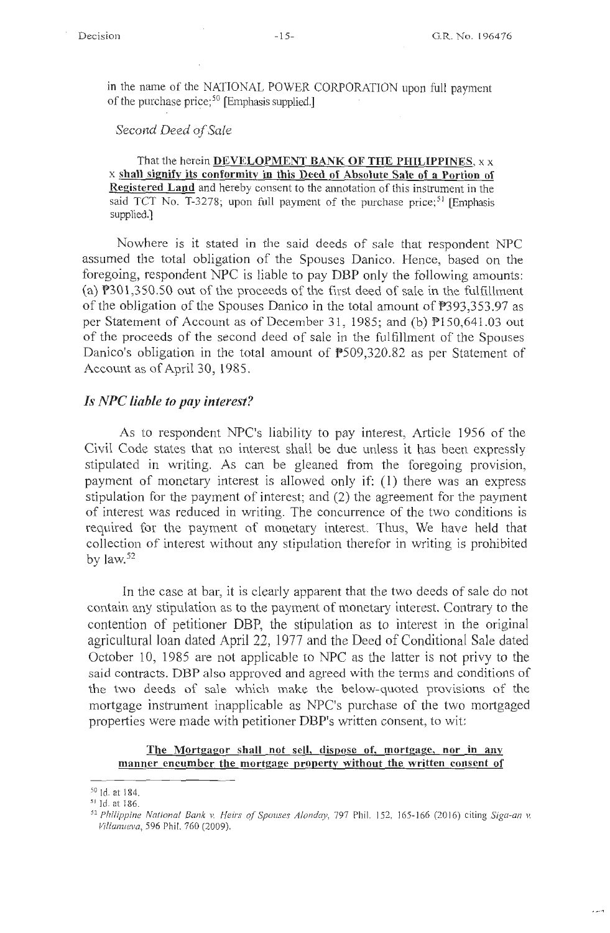in the name of the NATIONAL POWER CORPORATION upon full payment of the purchase price;<sup>50</sup> [Emphasis supplied.]

## *Second Deed of Sale*

That the herein **DEVELOPMENT BANK OF THE PHILIPPINES,** xx x **shall signify its conformity in this Deed of Absolute Sale of a Portion of Registered Land** and hereby consent to the annotation of this instrument in the said TCT No. T-3278; upon full payment of the purchase price;<sup>51</sup> [Emphasis] supplied.]

Nowhere is it stated in the said deeds of sale that respondent NPC assumed the total obligation of the Spouses Danico. Hence, based on the foregoing, respondent NPC is liable to pay DBP only the following amounts: (a)  $P301,350.50$  out of the proceeds of the first deed of sale in the fulfillment of the obligation of the Spouses Danico in the total amount of P393,353.97 as per Statement of Account as of December 31, 1985; and (b) Pl 50,641.03 out of the proceeds of the second deed of sale in the fulfillment of the Spouses Danico's obligation in the total amount of P509,320.82 as per Statement of Account as of April 30, 1985.

#### *Is NPC liable to pay interest?*

As to respondent NPC's liability to pay interest, Article 1956 of the Civil Code states that no interest shall be due unless it has been expressly stipulated in writing. As can be gleaned from the foregoing provision, payment of monetary interest is allowed only if: ( 1) there was an express stipulation for the payment of interest; and (2) the agreement for the payment of interest was reduced in writing. The concurrence of the two conditions is required for the payment of monetary interest. Thus, We have held that collection of interest without any stipulation therefor in writing is prohibited by law. 52

In the case at bar, it is clearly apparent that the two deeds of sale do not contain any stipulation as to the payment of monetary interest. Contrary to the contention of petitioner DBP, the stipulation as to interest in the original agricultural loan dated April 22, 1977 and the Deed of Conditional Sale dated October 10, 1985 are not applicable to NPC as the latter is not privy to the said contracts. DBP also approved and agreed with the terms and conditions of the two deeds of sale which make the below-quoted provisions of the mortgage instrument inapplicable as NPC's purchase of the two mortgaged properties were made with petitioner DBP's written consent, to wit:

#### **The Mortgagor shall not sell, dispose of, mortgage, nor in anv manner encumber the mortgage property without the written consent of**

 $\frac{50}{10}$  1d. at 184.

<sup>52</sup> Philippine National Bank v. Heirs of Spouses Alonday, 797 Phil. 152, 165-166 (2016) citing Siga-an v. *Villanueva,* 596 Phil. 760 (2009).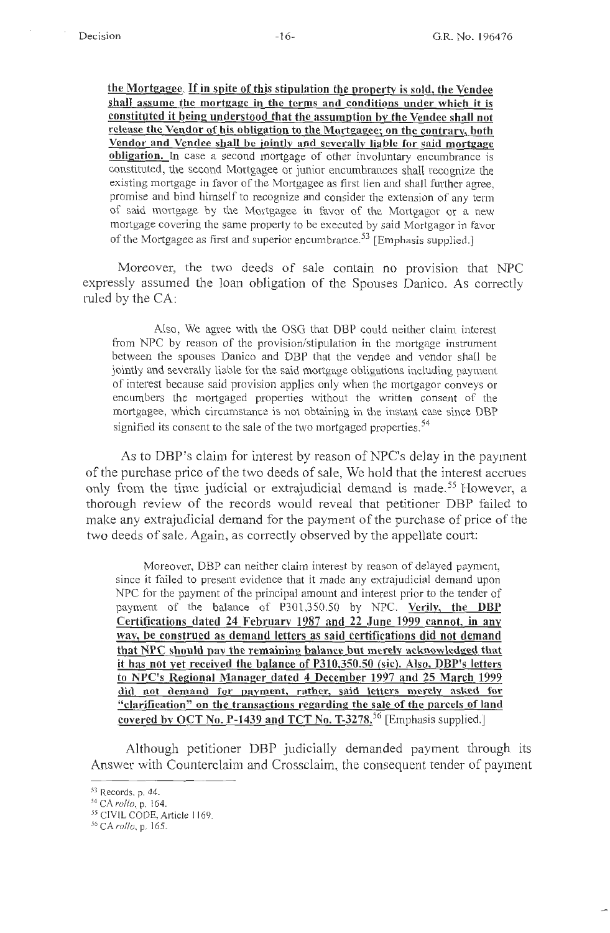**the Mortgagee.** If **in spite of this stipulation the property** is **sold, the Vendee shall assume the mortgage in the terms and conditions under which it is**  constituted it being understood that the assumption by the Vendee shall not **release the Vendor of his obligation to the Mortgagee; on the contrary, both Vendor and Vendee shall be jointly and severally liable for said mortgage obligation.** In case a second mortgage of other involuntary encumbrance is constituted, the second Mortgagee or junior encumbrances shall recognize the existing mortgage in favor of the Mortgagee as first lien and shall further agree, promise and bind himself to recognize and consider the extension of any term of said mortgage by the Mortgagee in favor of the Mortgagor or a new mortgage covering the same property to be executed by said Mortgagor in favor of the Mortgagee as first and superior encumbrance.<sup>53</sup> [Emphasis supplied.]

Moreover, the two deeds of sale contain no provision that NPC expressly assumed the loan obligation of the Spouses Danico. As correctly ruled by the CA:

Also, We agree with the OSG that DBP could neither claim interest from NPC by reason of the provision/stipulation in the mortgage instrument between the spouses Danica and DBP that the vendee and vendor shall be jointly and severally liable for the said mortgage obligations including payment of interest because said provision applies only when the mortgagor conveys or encumbers the mortgaged properties without the written consent of the mortgagee, which circumstance is not obtaining in the instant case since DBP signified its consent to the sale of the two mortgaged properties.<sup>54</sup>

As to DBP's claim for interest by reason of NPC's delay in the payment of the purchase price of the two deeds of sale, We hold that the interest accrues only from the time judicial or extrajudicial demand is made.<sup>55</sup> However, a thorough review of the records would reveal that petitioner DBP failed to make any extrajudicial demand for the payment of the purchase of price of the two deeds of sale. Again, as correctly observed by the appellate court:

Moreover, DBP can neither claim interest by reason of delayed payment, since it failed to present evidence that it made any extrajudicial demand upon NPC for the payment of the principal amount and interest prior to the tender of payment of the balance of P301,350.50 by NPC. **Verilv, the DBP Certifications dated 24 February 1987 and 22 .June 1999 cannot, in any way, be construed as demand letters as said certifications did not demand that NPC should pay the remaining balance but merely acknowledged that it has not yet received the balance of P310,350.50 (sic). Also, DBP's letters to NPC's Regional Manager dated 4 December 1997 and 25 March 1999 did not demand for payment, rather, said letters merely asked for "clarification" on the transactions regarding the sale of the parcels of land covered by OCT No. P-1439 and TCT No. T-3278.56** [Emphasis supplied.]

Although petitioner DBP judicially demanded payment through its Answer with Counterclaim and Crossclaim, the consequent tender of payment

<sup>53</sup> Records, p. 44.

<sup>5</sup> ' <sup>1</sup>CA *rollo,* p. 164.

*<sup>55</sup>*CIVILCODE,Article 1169.

<sup>&</sup>lt;sup>56</sup> CA *rollo*, p. 165.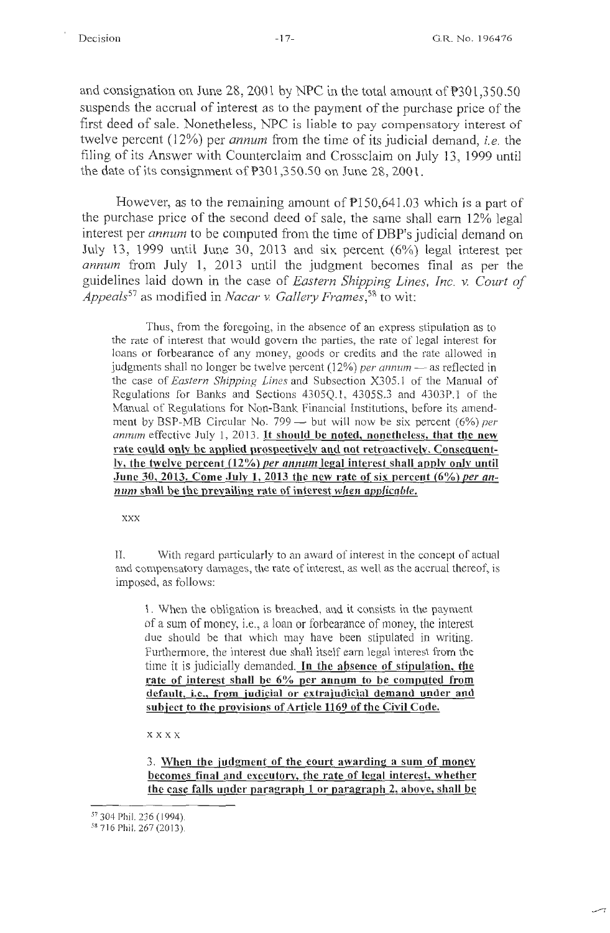بسر

and consignation on June 28, 2001 by NPC in the total amount of P301,350.50 suspends the accrual of interest as to the payment of the purchase price of the first deed of sale. Nonetheless, NPC is liable to pay compensatory interest of twelve percent (12%) per *annum* from the time of its judicial demand, *i.e.* the filing of its Answer with Counterclaim and Crossclaim on July 13, 1999 until the date of its consignment of  $P301,350.50$  on June 28, 2001.

However, as to the remaining amount of  $P150,641.03$  which is a part of the purchase price of the second deed of sale, the same shall earn 12% legal interest per *annum* to be computed from the time of DBP's judicial demand on July 13, 1999 until June 30, 2013 and six percent (6%) legal interest per *annum* from July 1, 2013 until the judgment becomes final as per the guidelines laid down in the case of *Eastern Shipping Lines, Inc. v. Court of Appeals<sup>57</sup>*as modified in *Nacar v. Gallery Frames,58* to wit:

Thus, from the foregoing, in the absence of an express stipulation as to the rate of interest that would govern the parties, the rate of legal interest for loans or forbearance of any money, goods or credits and the rate allowed in judgments shall no longer be twelve percent (12%) *per annum* — as reflected in the case of *Eastern Shipping Lines* and Subsection X305. l of the Manual of Regulations for Banks and Sections 4305Q.l , 4305S.3 and 4303P.1 of the Manual of Regulations for Non-Bank Financial Institutions, before its amendment by BSP-MB Circular No. 799 - but will now be six percent (6%) *per annum* effective July 1, 2013. It **should be noted, nonetheless, that the new rate could only be applied prospectively and not retroactively. Consequently, the twelve percent (12%)** *per annum* **legal interest shall apply onlv until June 30, 2013. Come July 1, 2013 the new rate of six percent (6%)** *per annum* **shall be the prevailing rate of interest** *when applicable.* 

**XXX** 

II. With regard particularly to an award of interest in the concept of actual and compensatory damages, the rate of interest, as well as the accrual thereof, is imposed, as follows:

1. When the obligation is breached, and it consists in the payment of a sum of money, i.e., a loan or forbearance of money, the interest due should be that which may have been stipulated in writing. Furthermore, the interest due shall itself earn legal interest from the time it is judicially demanded. In **the absence of stipulation, the rate of interest shall be 6% per annum to be computed from default, i.e., from judicial or extrajudicial demand under and subject to the provisions of Article 1169 of the Civil Code.** 

xxxx

3. When the judgment of the court awarding a sum of money becomes final and executory, the rate of legal interest, whether the case falls under paragraph 1 or paragraph 2, above, shall be

<sup>57</sup>304 Phil. 236 ( 1994).

*SR* 716 Phil. 267 (2013).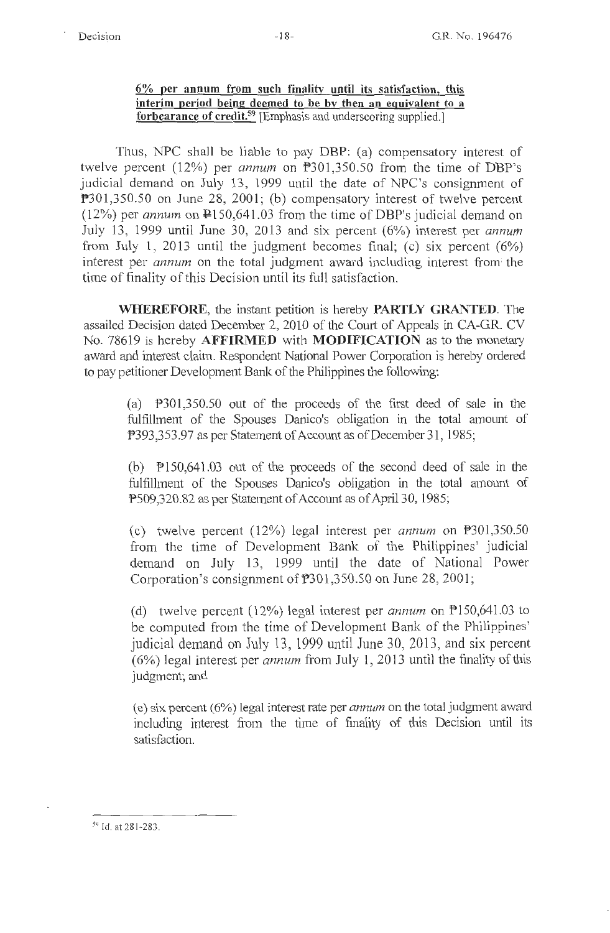**6% per annum from such finality until its satisfaction, this interim period being deemed to be bv then an equivalent to a forbearance of credit.59** [Emphasis and underscoring supplied.]

Thus, NPC shall be liable to pay DBP: (a) compensatory interest of twelve percent (12%) per *annum* on P301,350.50 from the time of DBP's judicial demand on July 13, 1999 until the date of NPC's consignment of P301,350.50 on June 28, 2001; (b) compensatory interest of twelve percent  $(12%)$  per *annum* on  $\mathbb{P}150,641.03$  from the time of DBP's judicial demand on July 13, 1999 until June 30, 2013 and six percent (6%) interest per *annum*  from July 1, 2013 until the judgment becomes final; (c) six percent  $(6\%)$ interest per *annum* on the total judgment award including interest fromi the time of finality of this Decision until its full satisfaction.

**WHEREFORE,** the instant petition is hereby **PARTLY GRANTED.** The assailed Decision dated December 2, 2010 of the Court of Appeals in CA-GR. CV No. 78619 is hereby **AFFIRMED** with **MODIFICATION** as to the monetary award and interest claim. Respondent National Power Corporation is hereby ordered to pay petitioner Development Bank of the Philippines the following:

(a) P301,350.50 out of the proceeds of the first deed of sale in the fulfillment of the Spouses Danico's obligation in the total amount of P393,353.97 as per Statement of Account as of December 31, 1985;

(b) Pl50,641.03 out of the proceeds of the second deed of sale in the fulfillment of the Spouses Danico's obligation in the total amount of P509,320.82 as per Statement of Account as of April 30, 1985;

(c) twelve percent (12%) legal interest per *annum* on P301,350.50 from the time of Development Bank of the Philippines' judicial demand on July 13, 1999 until the date of National Power Corporation's consignment of P301 ,350.50 on June 28, 2001;

(d) twelve percent (12%) legal interest per *annum* on PlS0,641.03 to be computed from the time of Development Bank of the Philippines' judicial demand on July 13, 1999 until June 30, 2013, and six percent (6%) legal interest per *annum* from July 1, 2013 until the finality of this judgment; and

( e) six percent ( 6%) legal interest rate per *annum* on the total judgment award including interest from the time of finality of this Decision until its satisfaction.

59 Id. at 28 1-283.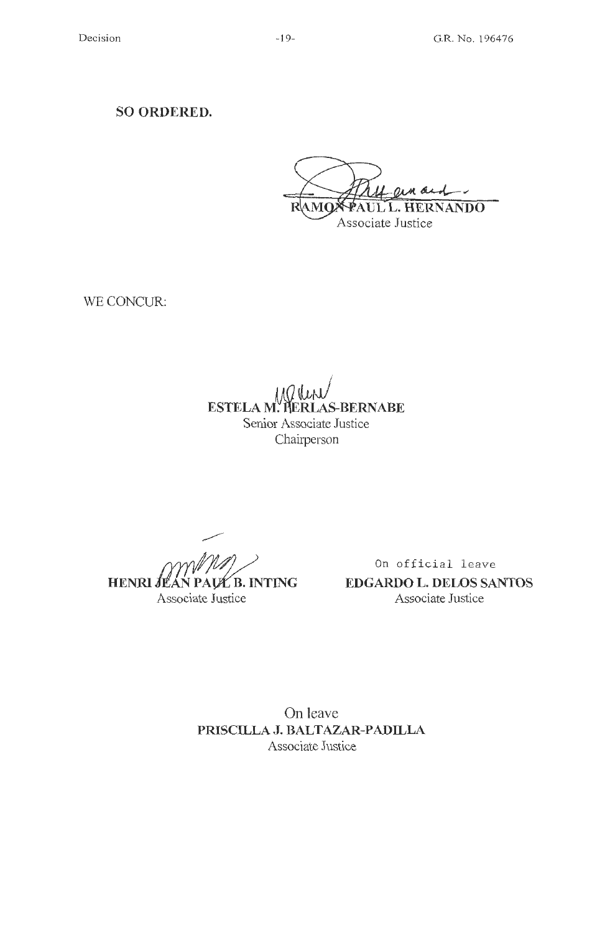**SO ORDERED.** 

M OL PAUL L. HERNANDO AMO R

Associate Justice

WE CONCUR:

**ESTELA M. HERLAS-BERNABE** Senior Associate Justice Chairperson

**HENRI** JI I PAUŁ B. INTING Associate Justice

On official leave **EDGARDO L. DELOS SANTOS**  Associate Justice

On leave **PRISCILLA J. BALTAZAR-PAD ILLA**  Associate Justice